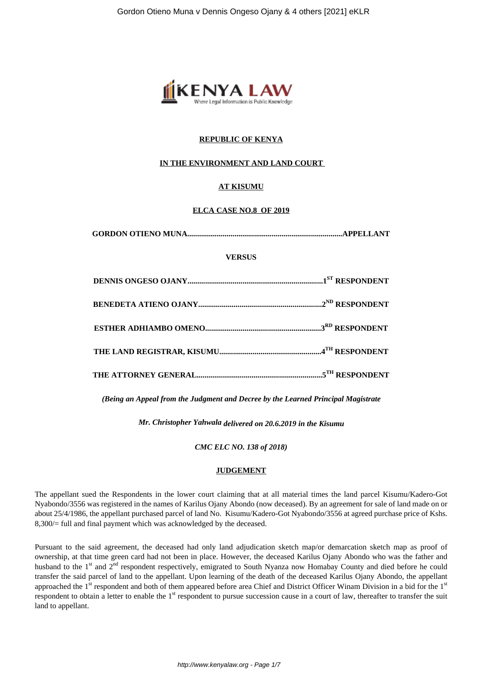

# **REPUBLIC OF KENYA**

## **IN THE ENVIRONMENT AND LAND COURT**

# **AT KISUMU**

## **ELCA CASE NO.8 OF 2019**

| <b>VERSUS</b> |  |
|---------------|--|
|               |  |
|               |  |
|               |  |
|               |  |
|               |  |

*(Being an Appeal from the Judgment and Decree by the Learned Principal Magistrate*

*Mr. Christopher Yahwala delivered on 20.6.2019 in the Kisumu*

*CMC ELC NO. 138 of 2018)*

#### **JUDGEMENT**

The appellant sued the Respondents in the lower court claiming that at all material times the land parcel Kisumu/Kadero-Got Nyabondo/3556 was registered in the names of Karilus Ojany Abondo (now deceased). By an agreement for sale of land made on or about 25/4/1986, the appellant purchased parcel of land No. Kisumu/Kadero-Got Nyabondo/3556 at agreed purchase price of Kshs. 8,300/= full and final payment which was acknowledged by the deceased.

Pursuant to the said agreement, the deceased had only land adjudication sketch map/or demarcation sketch map as proof of ownership, at that time green card had not been in place. However, the deceased Karilus Ojany Abondo who was the father and husband to the 1<sup>st</sup> and 2<sup>nd</sup> respondent respectively, emigrated to South Nyanza now Homabay County and died before he could transfer the said parcel of land to the appellant. Upon learning of the death of the deceased Karilus Ojany Abondo, the appellant approached the 1<sup>st</sup> respondent and both of them appeared before area Chief and District Officer Winam Division in a bid for the 1<sup>st</sup> respondent to obtain a letter to enable the  $1<sup>st</sup>$  respondent to pursue succession cause in a court of law, thereafter to transfer the suit land to appellant.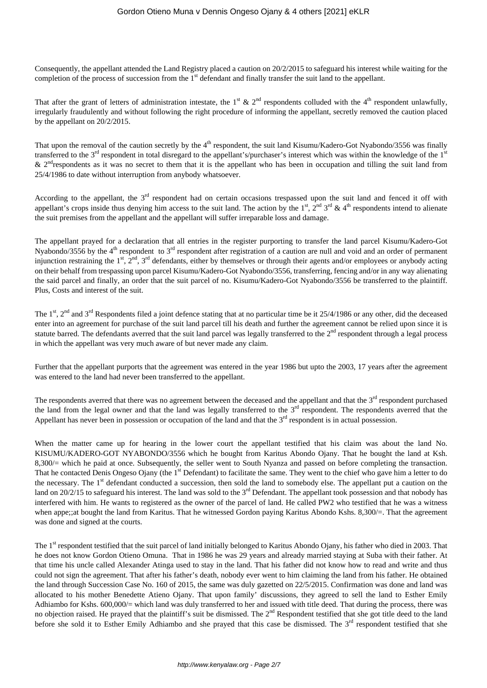Consequently, the appellant attended the Land Registry placed a caution on 20/2/2015 to safeguard his interest while waiting for the completion of the process of succession from the 1<sup>st</sup> defendant and finally transfer the suit land to the appellant.

That after the grant of letters of administration intestate, the 1<sup>st</sup> & 2<sup>nd</sup> respondents colluded with the 4<sup>th</sup> respondent unlawfully, irregularly fraudulently and without following the right procedure of informing the appellant, secretly removed the caution placed by the appellant on 20/2/2015.

That upon the removal of the caution secretly by the 4<sup>th</sup> respondent, the suit land Kisumu/Kadero-Got Nyabondo/3556 was finally transferred to the 3<sup>rd</sup> respondent in total disregard to the appellant's/purchaser's interest which was within the knowledge of the 1<sup>st</sup>  $\&$  2<sup>nd</sup> respondents as it was no secret to them that it is the appellant who has been in occupation and tilling the suit land from 25/4/1986 to date without interruption from anybody whatsoever.

According to the appellant, the 3<sup>rd</sup> respondent had on certain occasions trespassed upon the suit land and fenced it off with appellant's crops inside thus denying him access to the suit land. The action by the  $1<sup>st</sup>$ ,  $2<sup>nd</sup>$   $3<sup>rd</sup>$  &  $4<sup>th</sup>$  respondents intend to alienate the suit premises from the appellant and the appellant will suffer irreparable loss and damage.

The appellant prayed for a declaration that all entries in the register purporting to transfer the land parcel Kisumu/Kadero-Got Nyabondo/3556 by the 4<sup>th</sup> respondent to 3<sup>rd</sup> respondent after registration of a caution are null and void and an order of permanent injunction restraining the  $1^{st}$ ,  $2^{nd}$ ,  $3^{rd}$  defendants, either by themselves or through their agents and/or employees or anybody acting on their behalf from trespassing upon parcel Kisumu/Kadero-Got Nyabondo/3556, transferring, fencing and/or in any way alienating the said parcel and finally, an order that the suit parcel of no. Kisumu/Kadero-Got Nyabondo/3556 be transferred to the plaintiff. Plus, Costs and interest of the suit.

The  $1<sup>st</sup>$ ,  $2<sup>nd</sup>$  and  $3<sup>rd</sup>$  Respondents filed a joint defence stating that at no particular time be it 25/4/1986 or any other, did the deceased enter into an agreement for purchase of the suit land parcel till his death and further the agreement cannot be relied upon since it is statute barred. The defendants averred that the suit land parcel was legally transferred to the  $2<sup>nd</sup>$  respondent through a legal process in which the appellant was very much aware of but never made any claim.

Further that the appellant purports that the agreement was entered in the year 1986 but upto the 2003, 17 years after the agreement was entered to the land had never been transferred to the appellant.

The respondents averred that there was no agreement between the deceased and the appellant and that the  $3<sup>rd</sup>$  respondent purchased the land from the legal owner and that the land was legally transferred to the  $3<sup>rd</sup>$  respondent. The respondents averred that the Appellant has never been in possession or occupation of the land and that the  $3<sup>rd</sup>$  respondent is in actual possession.

When the matter came up for hearing in the lower court the appellant testified that his claim was about the land No. KISUMU/KADERO-GOT NYABONDO/3556 which he bought from Karitus Abondo Ojany. That he bought the land at Ksh. 8,300/= which he paid at once. Subsequently, the seller went to South Nyanza and passed on before completing the transaction. That he contacted Denis Ongeso Ojany (the 1<sup>st</sup> Defendant) to facilitate the same. They went to the chief who gave him a letter to do the necessary. The 1<sup>st</sup> defendant conducted a succession, then sold the land to somebody else. The appellant put a caution on the land on  $20/2/15$  to safeguard his interest. The land was sold to the  $3<sup>rd</sup>$  Defendant. The appellant took possession and that nobody has interfered with him. He wants to registered as the owner of the parcel of land. He called PW2 who testified that he was a witness when appe;;at bought the land from Karitus. That he witnessed Gordon paying Karitus Abondo Kshs. 8,300/=. That the agreement was done and signed at the courts.

The 1<sup>st</sup> respondent testified that the suit parcel of land initially belonged to Karitus Abondo Ojany, his father who died in 2003. That he does not know Gordon Otieno Omuna. That in 1986 he was 29 years and already married staying at Suba with their father. At that time his uncle called Alexander Atinga used to stay in the land. That his father did not know how to read and write and thus could not sign the agreement. That after his father's death, nobody ever went to him claiming the land from his father. He obtained the land through Succession Case No. 160 of 2015, the same was duly gazetted on 22/5/2015. Confirmation was done and land was allocated to his mother Benedette Atieno Ojany. That upon family' discussions, they agreed to sell the land to Esther Emily Adhiambo for Kshs. 600,000/= which land was duly transferred to her and issued with title deed. That during the process, there was no objection raised. He prayed that the plaintiff's suit be dismissed. The 2<sup>nd</sup> Respondent testified that she got title deed to the land before she sold it to Esther Emily Adhiambo and she prayed that this case be dismissed. The 3<sup>rd</sup> respondent testified that she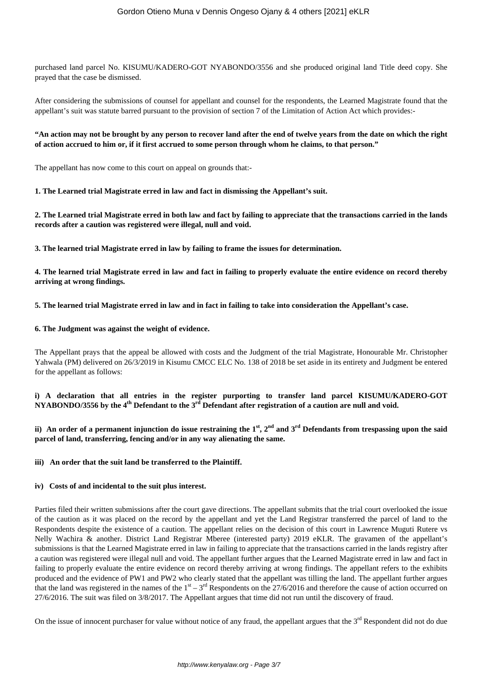purchased land parcel No. KISUMU/KADERO-GOT NYABONDO/3556 and she produced original land Title deed copy. She prayed that the case be dismissed.

After considering the submissions of counsel for appellant and counsel for the respondents, the Learned Magistrate found that the appellant's suit was statute barred pursuant to the provision of section 7 of the Limitation of Action Act which provides:-

# **"An action may not be brought by any person to recover land after the end of twelve years from the date on which the right of action accrued to him or, if it first accrued to some person through whom he claims, to that person."**

The appellant has now come to this court on appeal on grounds that:-

## **1. The Learned trial Magistrate erred in law and fact in dismissing the Appellant's suit.**

**2. The Learned trial Magistrate erred in both law and fact by failing to appreciate that the transactions carried in the lands records after a caution was registered were illegal, null and void.**

**3. The learned trial Magistrate erred in law by failing to frame the issues for determination.** 

**4. The learned trial Magistrate erred in law and fact in failing to properly evaluate the entire evidence on record thereby arriving at wrong findings.**

**5. The learned trial Magistrate erred in law and in fact in failing to take into consideration the Appellant's case.**

## **6. The Judgment was against the weight of evidence.**

The Appellant prays that the appeal be allowed with costs and the Judgment of the trial Magistrate, Honourable Mr. Christopher Yahwala (PM) delivered on 26/3/2019 in Kisumu CMCC ELC No. 138 of 2018 be set aside in its entirety and Judgment be entered for the appellant as follows:

**i) A declaration that all entries in the register purporting to transfer land parcel KISUMU/KADERO-GOT NYABONDO/3556 by the 4th Defendant to the 3rd Defendant after registration of a caution are null and void.**

**ii) An order of a permanent injunction do issue restraining the 1st, 2nd and 3rd Defendants from trespassing upon the said parcel of land, transferring, fencing and/or in any way alienating the same.**

**iii) An order that the suit land be transferred to the Plaintiff.**

# **iv) Costs of and incidental to the suit plus interest.**

Parties filed their written submissions after the court gave directions. The appellant submits that the trial court overlooked the issue of the caution as it was placed on the record by the appellant and yet the Land Registrar transferred the parcel of land to the Respondents despite the existence of a caution. The appellant relies on the decision of this court in Lawrence Muguti Rutere vs Nelly Wachira & another. District Land Registrar Mberee (interested party) 2019 eKLR. The gravamen of the appellant's submissions is that the Learned Magistrate erred in law in failing to appreciate that the transactions carried in the lands registry after a caution was registered were illegal null and void. The appellant further argues that the Learned Magistrate erred in law and fact in failing to properly evaluate the entire evidence on record thereby arriving at wrong findings. The appellant refers to the exhibits produced and the evidence of PW1 and PW2 who clearly stated that the appellant was tilling the land. The appellant further argues that the land was registered in the names of the  $1<sup>st</sup> - 3<sup>rd</sup>$  Respondents on the 27/6/2016 and therefore the cause of action occurred on 27/6/2016. The suit was filed on 3/8/2017. The Appellant argues that time did not run until the discovery of fraud.

On the issue of innocent purchaser for value without notice of any fraud, the appellant argues that the 3<sup>rd</sup> Respondent did not do due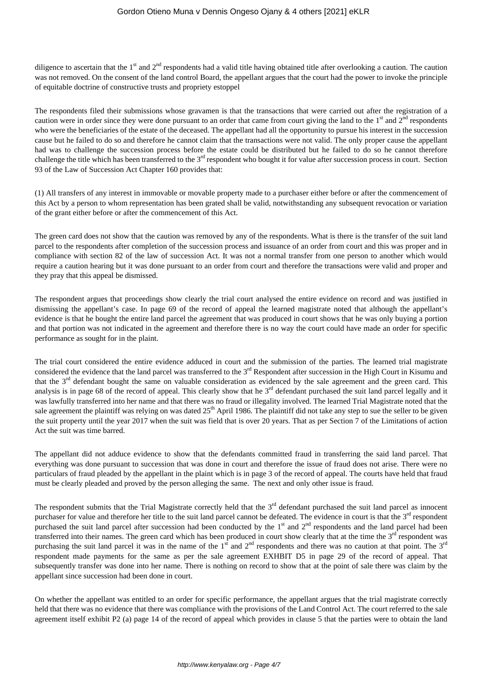diligence to ascertain that the  $1<sup>st</sup>$  and  $2<sup>nd</sup>$  respondents had a valid title having obtained title after overlooking a caution. The caution was not removed. On the consent of the land control Board, the appellant argues that the court had the power to invoke the principle of equitable doctrine of constructive trusts and propriety estoppel

The respondents filed their submissions whose gravamen is that the transactions that were carried out after the registration of a caution were in order since they were done pursuant to an order that came from court giving the land to the  $1<sup>st</sup>$  and  $2<sup>nd</sup>$  respondents who were the beneficiaries of the estate of the deceased. The appellant had all the opportunity to pursue his interest in the succession cause but he failed to do so and therefore he cannot claim that the transactions were not valid. The only proper cause the appellant had was to challenge the succession process before the estate could be distributed but he failed to do so he cannot therefore challenge the title which has been transferred to the 3<sup>rd</sup> respondent who bought it for value after succession process in court. Section 93 of the Law of Succession Act Chapter 160 provides that:

(1) All transfers of any interest in immovable or movable property made to a purchaser either before or after the commencement of this Act by a person to whom representation has been grated shall be valid, notwithstanding any subsequent revocation or variation of the grant either before or after the commencement of this Act.

The green card does not show that the caution was removed by any of the respondents. What is there is the transfer of the suit land parcel to the respondents after completion of the succession process and issuance of an order from court and this was proper and in compliance with section 82 of the law of succession Act. It was not a normal transfer from one person to another which would require a caution hearing but it was done pursuant to an order from court and therefore the transactions were valid and proper and they pray that this appeal be dismissed.

The respondent argues that proceedings show clearly the trial court analysed the entire evidence on record and was justified in dismissing the appellant's case. In page 69 of the record of appeal the learned magistrate noted that although the appellant's evidence is that he bought the entire land parcel the agreement that was produced in court shows that he was only buying a portion and that portion was not indicated in the agreement and therefore there is no way the court could have made an order for specific performance as sought for in the plaint.

The trial court considered the entire evidence adduced in court and the submission of the parties. The learned trial magistrate considered the evidence that the land parcel was transferred to the 3<sup>rd</sup> Respondent after succession in the High Court in Kisumu and that the  $3<sup>rd</sup>$  defendant bought the same on valuable consideration as evidenced by the sale agreement and the green card. This analysis is in page 68 of the record of appeal. This clearly show that he  $3<sup>rd</sup>$  defendant purchased the suit land parcel legally and it was lawfully transferred into her name and that there was no fraud or illegality involved. The learned Trial Magistrate noted that the sale agreement the plaintiff was relying on was dated  $25<sup>th</sup>$  April 1986. The plaintiff did not take any step to sue the seller to be given the suit property until the year 2017 when the suit was field that is over 20 years. That as per Section 7 of the Limitations of action Act the suit was time barred.

The appellant did not adduce evidence to show that the defendants committed fraud in transferring the said land parcel. That everything was done pursuant to succession that was done in court and therefore the issue of fraud does not arise. There were no particulars of fraud pleaded by the appellant in the plaint which is in page 3 of the record of appeal. The courts have held that fraud must be clearly pleaded and proved by the person alleging the same. The next and only other issue is fraud.

The respondent submits that the Trial Magistrate correctly held that the  $3<sup>rd</sup>$  defendant purchased the suit land parcel as innocent purchaser for value and therefore her title to the suit land parcel cannot be defeated. The evidence in court is that the 3<sup>rd</sup> respondent purchased the suit land parcel after succession had been conducted by the  $1<sup>st</sup>$  and  $2<sup>nd</sup>$  respondents and the land parcel had been transferred into their names. The green card which has been produced in court show clearly that at the time the 3<sup>rd</sup> respondent was purchasing the suit land parcel it was in the name of the  $1<sup>st</sup>$  and  $2<sup>nd</sup>$  respondents and there was no caution at that point. The  $3<sup>rd</sup>$ respondent made payments for the same as per the sale agreement EXHBIT D5 in page 29 of the record of appeal. That subsequently transfer was done into her name. There is nothing on record to show that at the point of sale there was claim by the appellant since succession had been done in court.

On whether the appellant was entitled to an order for specific performance, the appellant argues that the trial magistrate correctly held that there was no evidence that there was compliance with the provisions of the Land Control Act. The court referred to the sale agreement itself exhibit P2 (a) page 14 of the record of appeal which provides in clause 5 that the parties were to obtain the land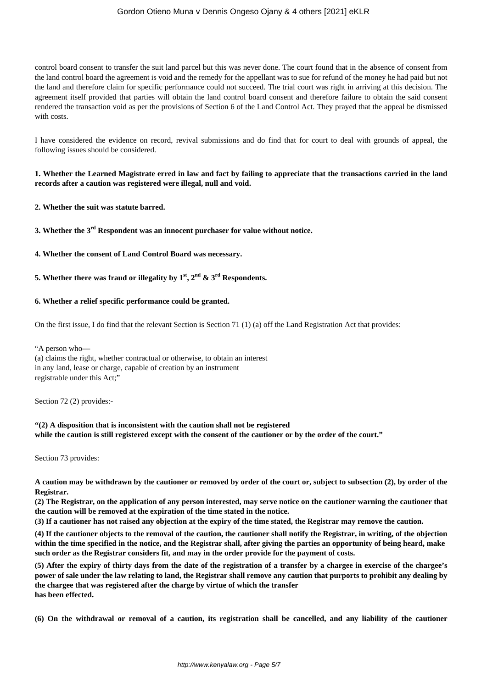# Gordon Otieno Muna v Dennis Ongeso Ojany & 4 others [2021] eKLR

control board consent to transfer the suit land parcel but this was never done. The court found that in the absence of consent from the land control board the agreement is void and the remedy for the appellant was to sue for refund of the money he had paid but not the land and therefore claim for specific performance could not succeed. The trial court was right in arriving at this decision. The agreement itself provided that parties will obtain the land control board consent and therefore failure to obtain the said consent rendered the transaction void as per the provisions of Section 6 of the Land Control Act. They prayed that the appeal be dismissed with costs.

I have considered the evidence on record, revival submissions and do find that for court to deal with grounds of appeal, the following issues should be considered.

# **1. Whether the Learned Magistrate erred in law and fact by failing to appreciate that the transactions carried in the land records after a caution was registered were illegal, null and void.**

**2. Whether the suit was statute barred.**

**3. Whether the 3rd Respondent was an innocent purchaser for value without notice.**

**4. Whether the consent of Land Control Board was necessary.**

**5. Whether there was fraud or illegality by**  $1<sup>st</sup>$ **,**  $2<sup>nd</sup>$  **&**  $3<sup>rd</sup>$  **Respondents.** 

#### **6. Whether a relief specific performance could be granted.**

On the first issue, I do find that the relevant Section is Section 71 (1) (a) off the Land Registration Act that provides:

"A person who—

(a) claims the right, whether contractual or otherwise, to obtain an interest in any land, lease or charge, capable of creation by an instrument registrable under this Act;"

Section 72 (2) provides:-

# **"(2) A disposition that is inconsistent with the caution shall not be registered while the caution is still registered except with the consent of the cautioner or by the order of the court."**

Section 73 provides:

**A caution may be withdrawn by the cautioner or removed by order of the court or, subject to subsection (2), by order of the Registrar.**

**(2) The Registrar, on the application of any person interested, may serve notice on the cautioner warning the cautioner that the caution will be removed at the expiration of the time stated in the notice.**

**(3) If a cautioner has not raised any objection at the expiry of the time stated, the Registrar may remove the caution.**

**(4) If the cautioner objects to the removal of the caution, the cautioner shall notify the Registrar, in writing, of the objection within the time specified in the notice, and the Registrar shall, after giving the parties an opportunity of being heard, make such order as the Registrar considers fit, and may in the order provide for the payment of costs.**

**(5) After the expiry of thirty days from the date of the registration of a transfer by a chargee in exercise of the chargee's power of sale under the law relating to land, the Registrar shall remove any caution that purports to prohibit any dealing by the chargee that was registered after the charge by virtue of which the transfer has been effected.**

**(6) On the withdrawal or removal of a caution, its registration shall be cancelled, and any liability of the cautioner**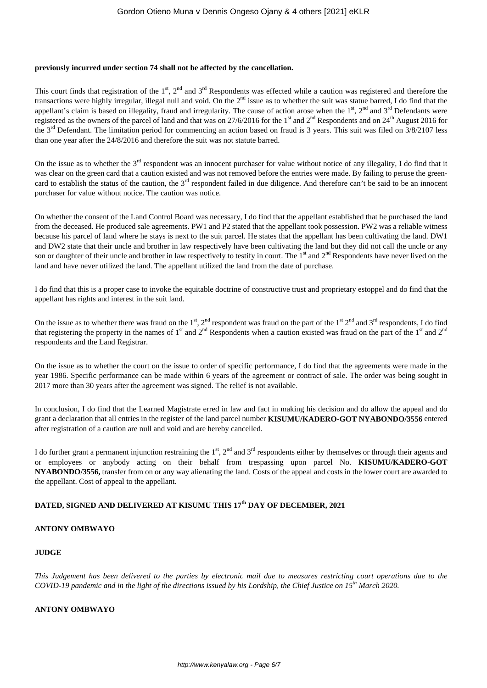#### **previously incurred under section 74 shall not be affected by the cancellation.**

This court finds that registration of the  $1<sup>st</sup>$ ,  $2<sup>nd</sup>$  and  $3<sup>rd</sup>$  Respondents was effected while a caution was registered and therefore the transactions were highly irregular, illegal null and void. On the  $2<sup>nd</sup>$  issue as to whether the suit was statue barred, I do find that the appellant's claim is based on illegality, fraud and irregularity. The cause of action arose when the  $1<sup>st</sup>$ ,  $2<sup>nd</sup>$  and  $3<sup>rd</sup>$  Defendants were registered as the owners of the parcel of land and that was on 27/6/2016 for the 1<sup>st</sup> and 2<sup>nd</sup> Respondents and on 24<sup>th</sup> August 2016 for the 3<sup>rd</sup> Defendant. The limitation period for commencing an action based on fraud is 3 years. This suit was filed on 3/8/2107 less than one year after the 24/8/2016 and therefore the suit was not statute barred.

On the issue as to whether the 3<sup>rd</sup> respondent was an innocent purchaser for value without notice of any illegality, I do find that it was clear on the green card that a caution existed and was not removed before the entries were made. By failing to peruse the greencard to establish the status of the caution, the  $3<sup>rd</sup>$  respondent failed in due diligence. And therefore can't be said to be an innocent purchaser for value without notice. The caution was notice.

On whether the consent of the Land Control Board was necessary, I do find that the appellant established that he purchased the land from the deceased. He produced sale agreements. PW1 and P2 stated that the appellant took possession. PW2 was a reliable witness because his parcel of land where he stays is next to the suit parcel. He states that the appellant has been cultivating the land. DW1 and DW2 state that their uncle and brother in law respectively have been cultivating the land but they did not call the uncle or any son or daughter of their uncle and brother in law respectively to testify in court. The  $1<sup>st</sup>$  and  $2<sup>nd</sup>$  Respondents have never lived on the land and have never utilized the land. The appellant utilized the land from the date of purchase.

I do find that this is a proper case to invoke the equitable doctrine of constructive trust and proprietary estoppel and do find that the appellant has rights and interest in the suit land.

On the issue as to whether there was fraud on the  $1<sup>st</sup>$ ,  $2<sup>nd</sup>$  respondent was fraud on the part of the  $1<sup>st</sup>$   $2<sup>nd</sup>$  and  $3<sup>rd</sup>$  respondents, I do find that registering the property in the names of 1<sup>st</sup> and 2<sup>nd</sup> Respondents when a caution existed was fraud on the part of the 1<sup>st</sup> and 2<sup>nd</sup> respondents and the Land Registrar.

On the issue as to whether the court on the issue to order of specific performance, I do find that the agreements were made in the year 1986. Specific performance can be made within 6 years of the agreement or contract of sale. The order was being sought in 2017 more than 30 years after the agreement was signed. The relief is not available.

In conclusion, I do find that the Learned Magistrate erred in law and fact in making his decision and do allow the appeal and do grant a declaration that all entries in the register of the land parcel number **KISUMU/KADERO-GOT NYABONDO/3556** entered after registration of a caution are null and void and are hereby cancelled.

I do further grant a permanent injunction restraining the 1<sup>st</sup>, 2<sup>nd</sup> and 3<sup>rd</sup> respondents either by themselves or through their agents and or employees or anybody acting on their behalf from trespassing upon parcel No. **KISUMU/KADERO-GOT NYABONDO/3556,** transfer from on or any way alienating the land. Costs of the appeal and costs in the lower court are awarded to the appellant. Cost of appeal to the appellant.

# **DATED, SIGNED AND DELIVERED AT KISUMU THIS 17th DAY OF DECEMBER, 2021**

## **ANTONY OMBWAYO**

## **JUDGE**

*This Judgement has been delivered to the parties by electronic mail due to measures restricting court operations due to the COVID-19 pandemic and in the light of the directions issued by his Lordship, the Chief Justice on 15th March 2020.*

## **ANTONY OMBWAYO**